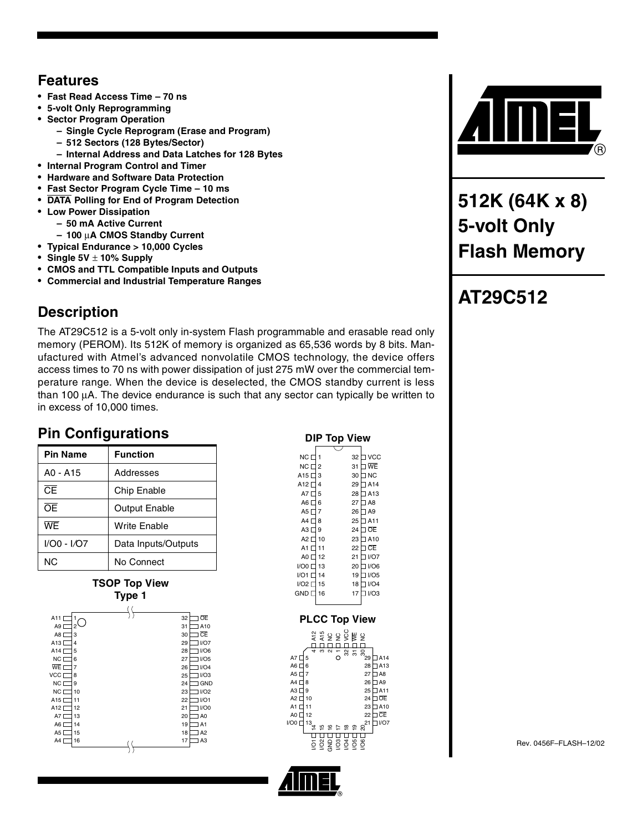## **Features**

- **Fast Read Access Time 70 ns**
- **5-volt Only Reprogramming**
- **Sector Program Operation**
	- **Single Cycle Reprogram (Erase and Program)**
		- **512 Sectors (128 Bytes/Sector)**
	- **Internal Address and Data Latches for 128 Bytes**
- **Internal Program Control and Timer**
- **Hardware and Software Data Protection**
- **Fast Sector Program Cycle Time 10 ms**
- **DATA Polling for End of Program Detection**
- **Low Power Dissipation**
	- **50 mA Active Current**
	- **100** µ**A CMOS Standby Current**
- **Typical Endurance > 10,000 Cycles**
- **Single 5V** ± **10% Supply**
- **CMOS and TTL Compatible Inputs and Outputs**
- **Commercial and Industrial Temperature Ranges**

## **Description**

The AT29C512 is a 5-volt only in-system Flash programmable and erasable read only memory (PEROM). Its 512K of memory is organized as 65,536 words by 8 bits. Manufactured with Atmel's advanced nonvolatile CMOS technology, the device offers access times to 70 ns with power dissipation of just 275 mW over the commercial temperature range. When the device is deselected, the CMOS standby current is less than 100 µA. The device endurance is such that any sector can typically be written to in excess of 10,000 times.

## **Pin Configurations**

| <b>Pin Name</b>        | <b>Function</b>      |
|------------------------|----------------------|
| A0 - A15               | Addresses            |
| $\overline{\text{CE}}$ | Chip Enable          |
| ᅊ                      | <b>Output Enable</b> |
| WF                     | Write Enable         |
| I/O0 - I/O7            | Data Inputs/Outputs  |
| ΝC                     | No Connect           |

**TSOP Top View Type 1**

|                       | . . |                      |
|-----------------------|-----|----------------------|
|                       |     |                      |
| A11<br>1              |     | ŌĒ<br>32             |
| $^{2}$<br>A9 [        |     | A10<br>31            |
| A8 [<br>3             |     | <b>CE</b><br>30      |
| A13 L<br>4            |     | I/O7<br>29           |
| A14 <sup>[</sup><br>5 |     | I/O6<br>28           |
| NC [<br>6             |     | I/O5<br>27           |
| WE [<br>7             |     | I/O4<br>26           |
| VCC D<br>8            |     | I/O3<br>25           |
| NC [<br>9             |     | <b>GND</b><br>24     |
| NC [<br>10            |     | I/O2<br>23           |
| A15 L<br>11           |     | I/O1<br>22           |
| A12 L<br>12           |     | I/O0<br>21           |
| A7 <sup>[</sup><br>13 |     | A <sub>0</sub><br>20 |
| A6 [<br>14            |     | 19<br>A1             |
| A5 [<br>15            |     | A <sub>2</sub><br>18 |
| A4 [<br>16            |     | A <sub>3</sub><br>17 |
|                       |     |                      |
|                       |     |                      |

|                         |                | IP Top View                        |         |                      |                 |
|-------------------------|----------------|------------------------------------|---------|----------------------|-----------------|
|                         |                |                                    |         |                      |                 |
| NC [                    | 1              |                                    | 32      | <b>VCC</b>           |                 |
| NC [                    | $\overline{c}$ |                                    | 31      | ∃ WE                 |                 |
| A15 <sup>[</sup>        | 3              |                                    | 30      | <b>NC</b><br>┒       |                 |
| A12                     | 4              |                                    | 29      | A <sub>14</sub>      |                 |
| A7 <sup>[</sup>         | 5              |                                    | 28      | $J$ A13              |                 |
| A6 [                    | 6              |                                    | 27      | $\Box$ A8            |                 |
| A5 <sup>[</sup>         | 7              |                                    | 26      | $\exists$ A9         |                 |
| A4                      | 8              |                                    | 25      | $\Box$ A11           |                 |
| A3                      | 9              |                                    | 24      | <b>OE</b><br>٦       |                 |
| A2 <sub>0</sub>         | 10             |                                    | 23      | A <sub>10</sub><br>٦ |                 |
| A1                      | 11             |                                    | 22      | ∃ CE                 |                 |
| A0 <sup>[</sup>         | 12             |                                    | 21      | 1/07                 |                 |
| I/O0 <sup>[</sup>       | 13             |                                    | 20      | <b>JI/O6</b>         |                 |
| $I/O1$ $\Box$           | 14             |                                    | 19      | 11/05                |                 |
| <b>I/O2</b> D           | 15             |                                    | 18      | I/O4<br>٦            |                 |
| <b>GND</b> <sub>L</sub> | 16             |                                    | 17      | I/O3<br>٦            |                 |
|                         |                |                                    |         |                      |                 |
|                         |                |                                    |         |                      |                 |
|                         |                |                                    |         | <b>PLCC Top View</b> |                 |
|                         |                | ឌ ៖ ទី កិ កិ គិន<br>អី គឺ គី កិ កិ |         |                      |                 |
|                         |                |                                    |         |                      |                 |
| 4                       | S              | $\mathbf{\Omega}$                  | 82<br>5 | 」<br>8<br>29         |                 |
| A7<br>5                 |                | Ō                                  |         |                      | A14             |
| A6 [<br>6               |                |                                    |         | 28                   | A13             |
| A5 [<br>$\overline{7}$  |                |                                    |         | 27                   | $\overline{AB}$ |
| A4 $\Gamma$<br>8        |                |                                    |         | 26                   | ] A9            |
| A3<br>9<br>A2<br>10     |                |                                    |         | 25<br>24             | $J$ A11<br>⊐ oe |
| A1 [<br>11              |                |                                    |         | 23                   | A10             |
| A0 [<br>12              |                |                                    |         | 22                   | <b>CE</b>       |
| I/OO <sub>L</sub><br>13 |                |                                    |         | 21                   | I/O7<br>п       |

<sup>13</sup>≠ຼ ¤ຼ ¤ຼ ສຸ ສຸລ<sup>21</sup>

<del>. . . . . . . . . . . . . .</del>



**512K (64K x 8) 5-volt Only Flash Memory**

# **AT29C512**

Rev. 0456F–FLASH–12/02



I/O1  $\stackrel{\mathtt{o}}{\subseteq}$ GND ទី ទី ទី ទី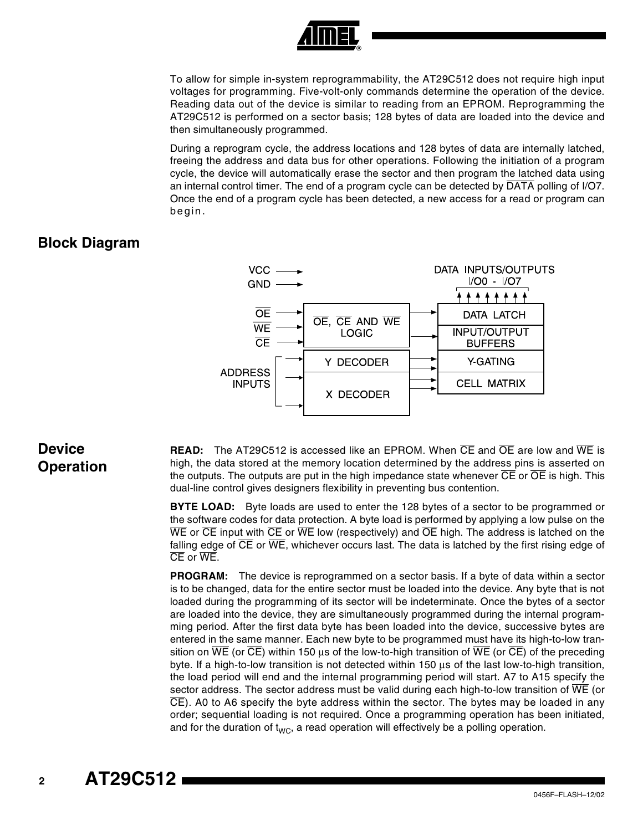

To allow for simple in-system reprogrammability, the AT29C512 does not require high input voltages for programming. Five-volt-only commands determine the operation of the device. Reading data out of the device is similar to reading from an EPROM. Reprogramming the AT29C512 is performed on a sector basis; 128 bytes of data are loaded into the device and then simultaneously programmed.

During a reprogram cycle, the address locations and 128 bytes of data are internally latched, freeing the address and data bus for other operations. Following the initiation of a program cycle, the device will automatically erase the sector and then program the latched data using an internal control timer. The end of a program cycle can be detected by DATA polling of I/O7. Once the end of a program cycle has been detected, a new access for a read or program can begin.

### **Block Diagram**



### **Device Operation**

**READ:** The AT29C512 is accessed like an EPROM. When CE and OE are low and WE is high, the data stored at the memory location determined by the address pins is asserted on the outputs. The outputs are put in the high impedance state whenever  $\overline{CE}$  or  $\overline{OE}$  is high. This dual-line control gives designers flexibility in preventing bus contention.

**BYTE LOAD:** Byte loads are used to enter the 128 bytes of a sector to be programmed or the software codes for data protection. A byte load is performed by applying a low pulse on the  $\overline{\text{WE}}$  or  $\overline{\text{CE}}$  input with  $\overline{\text{CE}}$  or  $\overline{\text{WE}}$  low (respectively) and  $\overline{\text{OE}}$  high. The address is latched on the falling edge of  $\overline{\text{CE}}$  or  $\overline{\text{WE}}$ , whichever occurs last. The data is latched by the first rising edge of CE or WE.

**PROGRAM:** The device is reprogrammed on a sector basis. If a byte of data within a sector is to be changed, data for the entire sector must be loaded into the device. Any byte that is not loaded during the programming of its sector will be indeterminate. Once the bytes of a sector are loaded into the device, they are simultaneously programmed during the internal programming period. After the first data byte has been loaded into the device, successive bytes are entered in the same manner. Each new byte to be programmed must have its high-to-low transition on  $\overline{WE}$  (or  $\overline{CE}$ ) within 150 µs of the low-to-high transition of  $\overline{WE}$  (or  $\overline{CE}$ ) of the preceding byte. If a high-to-low transition is not detected within 150 µs of the last low-to-high transition, the load period will end and the internal programming period will start. A7 to A15 specify the sector address. The sector address must be valid during each high-to-low transition of  $\overline{\text{WE}}$  (or  $\overline{CE}$ ). A0 to A6 specify the byte address within the sector. The bytes may be loaded in any order; sequential loading is not required. Once a programming operation has been initiated, and for the duration of  $t_{WC}$ , a read operation will effectively be a polling operation.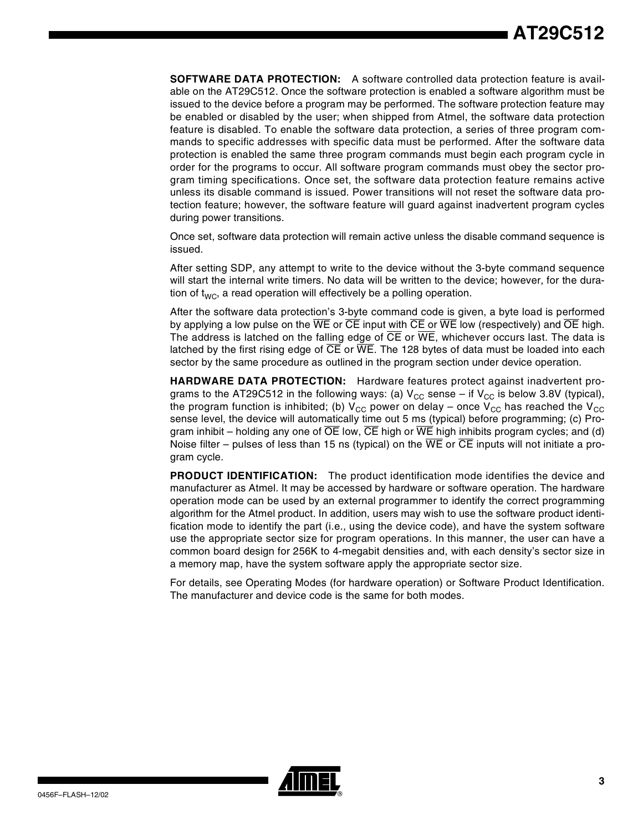**SOFTWARE DATA PROTECTION:** A software controlled data protection feature is available on the AT29C512. Once the software protection is enabled a software algorithm must be issued to the device before a program may be performed. The software protection feature may be enabled or disabled by the user; when shipped from Atmel, the software data protection feature is disabled. To enable the software data protection, a series of three program commands to specific addresses with specific data must be performed. After the software data protection is enabled the same three program commands must begin each program cycle in order for the programs to occur. All software program commands must obey the sector program timing specifications. Once set, the software data protection feature remains active unless its disable command is issued. Power transitions will not reset the software data protection feature; however, the software feature will guard against inadvertent program cycles during power transitions.

Once set, software data protection will remain active unless the disable command sequence is issued.

After setting SDP, any attempt to write to the device without the 3-byte command sequence will start the internal write timers. No data will be written to the device; however, for the duration of  $t_{WC}$ , a read operation will effectively be a polling operation.

After the software data protection's 3-byte command code is given, a byte load is performed by applying a low pulse on the WE or CE input with CE or WE low (respectively) and OE high. The address is latched on the falling edge of CE or WE, whichever occurs last. The data is latched by the first rising edge of  $\overline{\text{CE}}$  or  $\overline{\text{WE}}$ . The 128 bytes of data must be loaded into each sector by the same procedure as outlined in the program section under device operation.

**HARDWARE DATA PROTECTION:** Hardware features protect against inadvertent programs to the AT29C512 in the following ways: (a)  $V_{CC}$  sense – if  $V_{CC}$  is below 3.8V (typical), the program function is inhibited; (b)  $V_{CC}$  power on delay – once  $V_{CC}$  has reached the  $V_{CC}$ sense level, the device will automatically time out 5 ms (typical) before programming; (c) Program inhibit – holding any one of  $\overline{OE}$  low,  $\overline{CE}$  high or  $\overline{WE}$  high inhibits program cycles; and (d) Noise filter – pulses of less than 15 ns (typical) on the  $\overline{WE}$  or  $\overline{CE}$  inputs will not initiate a program cycle.

**PRODUCT IDENTIFICATION:** The product identification mode identifies the device and manufacturer as Atmel. It may be accessed by hardware or software operation. The hardware operation mode can be used by an external programmer to identify the correct programming algorithm for the Atmel product. In addition, users may wish to use the software product identification mode to identify the part (i.e., using the device code), and have the system software use the appropriate sector size for program operations. In this manner, the user can have a common board design for 256K to 4-megabit densities and, with each density's sector size in a memory map, have the system software apply the appropriate sector size.

For details, see Operating Modes (for hardware operation) or Software Product Identification. The manufacturer and device code is the same for both modes.

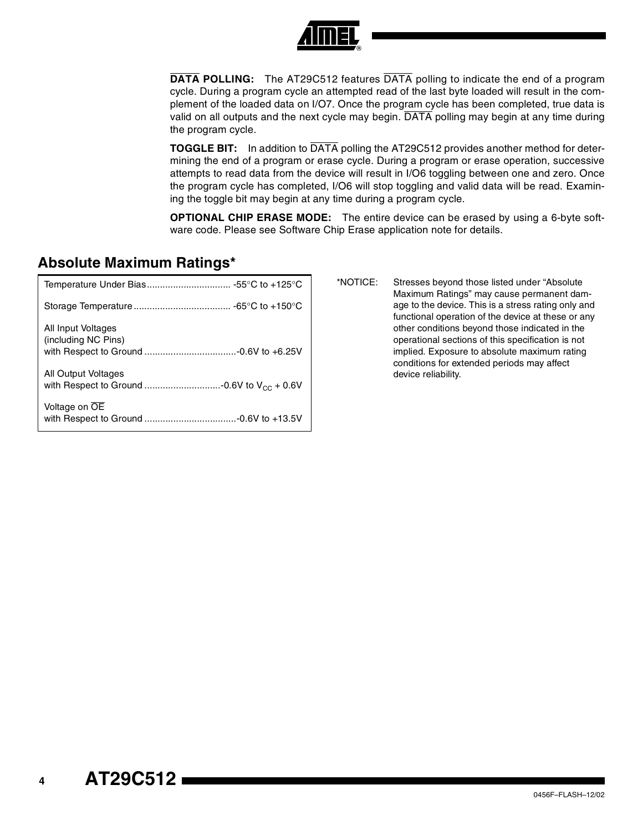

**DATA POLLING:** The AT29C512 features DATA polling to indicate the end of a program cycle. During a program cycle an attempted read of the last byte loaded will result in the complement of the loaded data on I/O7. Once the program cycle has been completed, true data is valid on all outputs and the next cycle may begin. DATA polling may begin at any time during the program cycle.

**TOGGLE BIT:** In addition to DATA polling the AT29C512 provides another method for determining the end of a program or erase cycle. During a program or erase operation, successive attempts to read data from the device will result in I/O6 toggling between one and zero. Once the program cycle has completed, I/O6 will stop toggling and valid data will be read. Examining the toggle bit may begin at any time during a program cycle.

**OPTIONAL CHIP ERASE MODE:** The entire device can be erased by using a 6-byte software code. Please see Software Chip Erase application note for details.

### **Absolute Maximum Ratings\***

|                                           | *NOTICE: | Stresses beyond those listed under "Absolute"<br>Maximum Ratings" may cause permanent dam-                |
|-------------------------------------------|----------|-----------------------------------------------------------------------------------------------------------|
|                                           |          | age to the device. This is a stress rating only and<br>functional operation of the device at these or any |
| All Input Voltages<br>(including NC Pins) |          | other conditions beyond those indicated in the<br>operational sections of this specification is not       |
|                                           |          | implied. Exposure to absolute maximum rating<br>conditions for extended periods may affect                |
| All Output Voltages                       |          | device reliability.                                                                                       |
| Voltage on OE                             |          |                                                                                                           |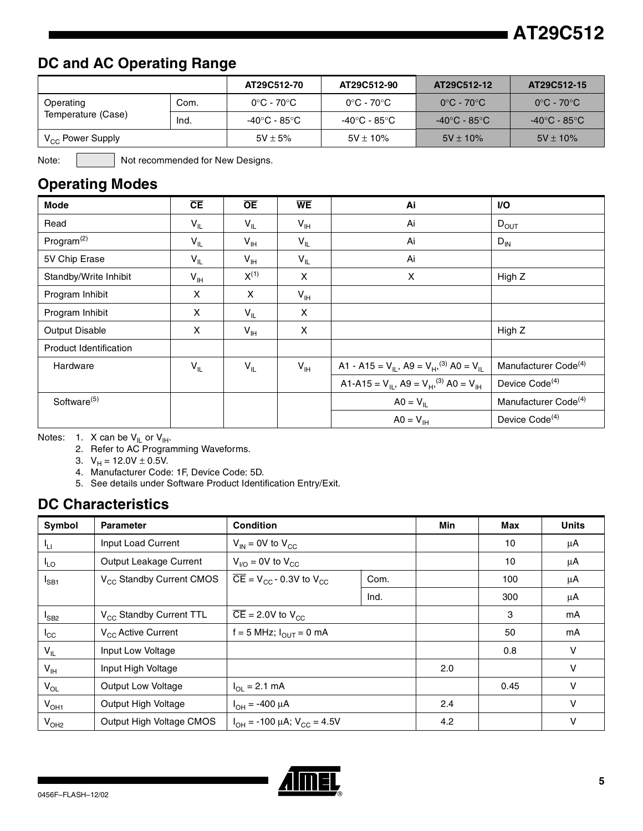## **DC and AC Operating Range**

|                       |      | AT29C512-70  | AT29C512-90   | AT29C512-12                     | AT29C512-15                     |
|-----------------------|------|--------------|---------------|---------------------------------|---------------------------------|
| Operating             | Com. | 0°C - 70°C   | 0°C - 70°C    | $0^{\circ}$ C - 70 $^{\circ}$ C | $0^{\circ}$ C - 70 $^{\circ}$ C |
| Temperature (Case)    | Ind. | -40°C - 85°C | -40°C - 85°C  | -40°C - 85°C                    | -40°C - 85°C                    |
| $V_{CC}$ Power Supply |      | $5V \pm 5%$  | $5V \pm 10\%$ | $5V \pm 10\%$                   | $5V \pm 10\%$                   |

Note: Not recommended for New Designs.

## **Operating Modes**

| <b>Mode</b>             | CE                | <b>OE</b>       | <b>WE</b>       | Ai                                                                | <b>VO</b>                        |
|-------------------------|-------------------|-----------------|-----------------|-------------------------------------------------------------------|----------------------------------|
| Read                    | $V_{IL}$          | $V_{IL}$        | $V_{\text{IH}}$ | Ai                                                                | $D_{OUT}$                        |
| Program $(2)$           | $V_{IL}$          | $V_{\text{IH}}$ | $V_{IL}$        | Ai                                                                | $D_{IN}$                         |
| 5V Chip Erase           | $V_{IL}$          | $V_{\text{IH}}$ | $V_{IL}$        | Ai                                                                |                                  |
| Standby/Write Inhibit   | $V_{\parallel H}$ | $X^{(1)}$       | X               | X                                                                 | High Z                           |
| Program Inhibit         | X                 | X               | $V_{\text{IH}}$ |                                                                   |                                  |
| Program Inhibit         | X                 | $V_{IL}$        | X               |                                                                   |                                  |
| Output Disable          | X                 | $V_{\text{IH}}$ | X               |                                                                   | High Z                           |
| Product Identification  |                   |                 |                 |                                                                   |                                  |
| Hardware                | $V_{IL}$          | $V_{IL}$        | $V_{\text{IH}}$ | A1 - A15 = $V_{IL}$ , A9 = $V_{H}$ , <sup>(3)</sup> A0 = $V_{IL}$ | Manufacturer Code <sup>(4)</sup> |
|                         |                   |                 |                 | A1-A15 = $V_{IL}$ , A9 = $V_{H}$ , <sup>(3)</sup> A0 = $V_{IH}$   | Device Code <sup>(4)</sup>       |
| Software <sup>(5)</sup> |                   |                 |                 | $AO = V_{IL}$                                                     | Manufacturer Code <sup>(4)</sup> |
|                         |                   |                 |                 | $AO = V_{\text{IH}}$                                              | Device Code <sup>(4)</sup>       |

Notes: 1. X can be  $V_{IL}$  or  $V_{IH}$ .

2. Refer to AC Programming Waveforms.

3.  $V_H = 12.0V \pm 0.5V$ .

4. Manufacturer Code: 1F, Device Code: 5D.

5. See details under Software Product Identification Entry/Exit.

### **DC Characteristics**

| Symbol          | <b>Parameter</b>                     | <b>Condition</b>                                            |      | Min | Max  | <b>Units</b> |
|-----------------|--------------------------------------|-------------------------------------------------------------|------|-----|------|--------------|
| ۱u              | Input Load Current                   | $V_{IN}$ = 0V to $V_{CC}$                                   |      |     | 10   | μA           |
| $I_{LO}$        | Output Leakage Current               | $V_{\text{I/O}}$ = 0V to $V_{\text{CC}}$                    |      |     | 10   | μA           |
| $I_{SB1}$       | V <sub>CC</sub> Standby Current CMOS | $\overline{CE}$ = V <sub>CC</sub> - 0.3V to V <sub>CC</sub> | Com. |     | 100  | μA           |
|                 |                                      |                                                             | Ind. |     | 300  | μA           |
| $I_{SB2}$       | V <sub>CC</sub> Standby Current TTL  | $\overline{CE}$ = 2.0V to V <sub>CC</sub>                   |      |     | 3    | mA           |
| $I_{\rm CC}$    | V <sub>CC</sub> Active Current       | $f = 5$ MHz; $I_{\text{OUT}} = 0$ mA                        |      |     | 50   | mA           |
| $V_{IL}$        | Input Low Voltage                    |                                                             |      |     | 0.8  | v            |
| $V_{\text{IH}}$ | Input High Voltage                   |                                                             |      | 2.0 |      | v            |
| $V_{OL}$        | <b>Output Low Voltage</b>            | $I_{\text{O1}} = 2.1 \text{ mA}$                            |      |     | 0.45 | v            |
| $V_{OH1}$       | Output High Voltage                  | $I_{OH} = -400 \mu A$                                       |      | 2.4 |      | v            |
| $V_{OH2}$       | Output High Voltage CMOS             | $I_{OH}$ = -100 µA; $V_{CC}$ = 4.5V                         |      | 4.2 |      | v            |

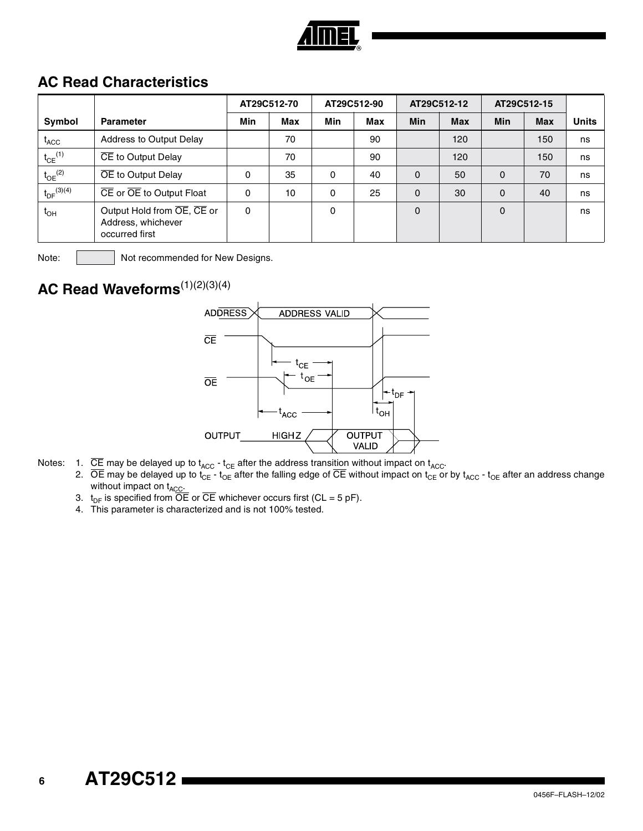

## **AC Read Characteristics**

|                         |                                                                    | AT29C512-70 |     | AT29C512-90 |     | AT29C512-12 |            | AT29C512-15 |            |              |
|-------------------------|--------------------------------------------------------------------|-------------|-----|-------------|-----|-------------|------------|-------------|------------|--------------|
| Symbol                  | <b>Parameter</b>                                                   | Min         | Max | Min         | Max | <b>Min</b>  | <b>Max</b> | <b>Min</b>  | <b>Max</b> | <b>Units</b> |
| $t_{\rm ACC}$           | Address to Output Delay                                            |             | 70  |             | 90  |             | 120        |             | 150        | ns           |
| $t_{CE}$ <sup>(1)</sup> | CE to Output Delay                                                 |             | 70  |             | 90  |             | 120        |             | 150        | ns           |
| $t_{OE}$ <sup>(2)</sup> | OE to Output Delay                                                 | $\Omega$    | 35  | 0           | 40  | 0           | 50         | $\Omega$    | 70         | ns           |
| $t_{DF}^{(3)(4)}$       | CE or OE to Output Float                                           | 0           | 10  | 0           | 25  | 0           | 30         | $\Omega$    | 40         | ns           |
| $t_{OH}$                | Output Hold from OE, CE or<br>Address, whichever<br>occurred first | $\Omega$    |     | $\Omega$    |     | 0           |            | $\Omega$    |            | ns           |

Note: | Not recommended for New Designs.

## **AC Read Waveforms**(1)(2)(3)(4)



- Notes:  $1.$  CE may be delayed up to t<sub>ACC</sub> t<sub>CE</sub> after the address transition without impact on t<sub>ACC</sub>.
	- 2. OE may be delayed up to  $t_{\sf CE}$   $t_{\sf OE}$  after the falling edge of CE without impact on  $t_{\sf CE}$  or by  $t_{\sf ACC}$   $t_{\sf OE}$  after an address change without impact on t<sub>ACC</sub>.
	- 3.  $t_{DF}$  is specified from OE or CE whichever occurs first (CL = 5 pF).
	- 4. This parameter is characterized and is not 100% tested.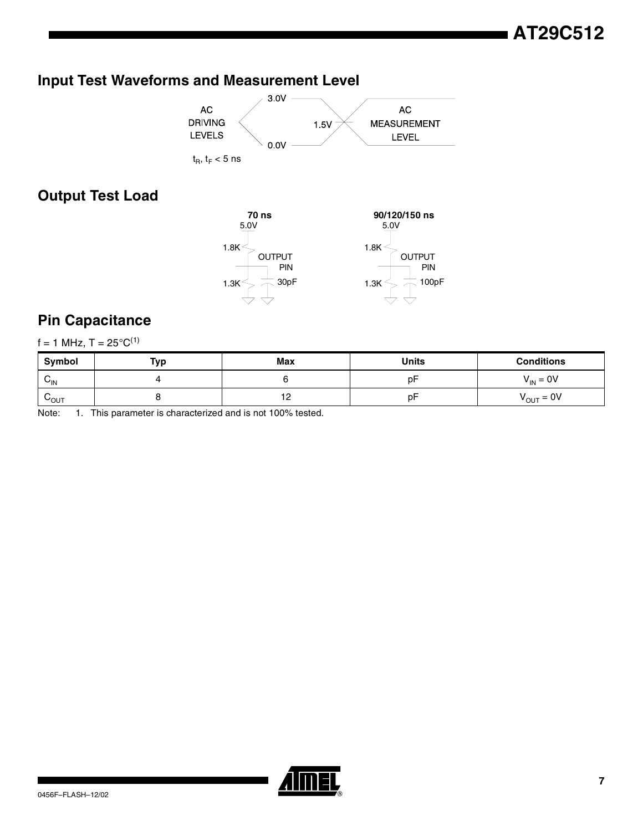## **Input Test Waveforms and Measurement Level**



## **Output Test Load**



### **Pin Capacitance**

|  |  |  |  | $f = 1$ MHz, T = 25°C <sup>(1)</sup> |
|--|--|--|--|--------------------------------------|
|--|--|--|--|--------------------------------------|

| Symbol           | Тур | Max | <b>Units</b> | <b>Conditions</b>      |  |
|------------------|-----|-----|--------------|------------------------|--|
| $v_{\text{IN}}$  |     |     | p⊦           | $V_{IN} = 0V$          |  |
| $V_{\text{OUT}}$ |     | . . | p۲           | $V_{\text{OUT}} = 0$ V |  |

Note: 1. This parameter is characterized and is not 100% tested.

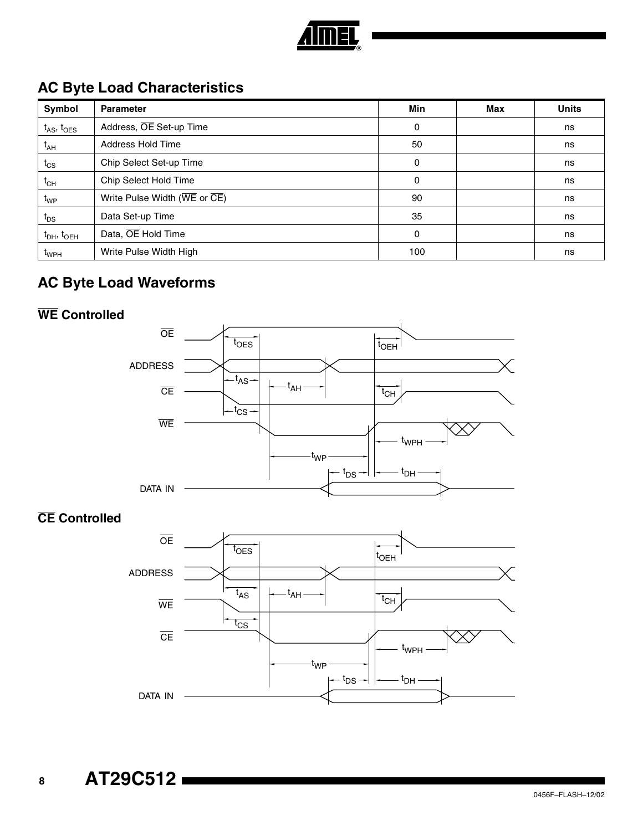

## **AC Byte Load Characteristics**

| Symbol                      | <b>Parameter</b>                                                       | Min      | Max | <b>Units</b> |
|-----------------------------|------------------------------------------------------------------------|----------|-----|--------------|
| $t_{AS}$ , $t_{OES}$        | Address, OE Set-up Time                                                | $\Omega$ |     | ns           |
| $t_{AH}$                    | Address Hold Time                                                      | 50       |     | ns           |
| $t_{CS}$                    | Chip Select Set-up Time                                                | 0        |     | ns           |
| $t_{CH}$                    | Chip Select Hold Time                                                  | $\Omega$ |     | ns           |
| t <sub>WP</sub>             | Write Pulse Width ( $\overline{\text{WE}}$ or $\overline{\text{CE}}$ ) | 90       |     | ns           |
| $t_{DS}$                    | Data Set-up Time                                                       | 35       |     | ns           |
| $t_{DH}$ , $t_{OEH}$        | Data, OE Hold Time                                                     | $\Omega$ |     | ns           |
| $\mathfrak{r}_{\text{WPH}}$ | Write Pulse Width High                                                 | 100      |     | ns           |

## **AC Byte Load Waveforms**

## **WE Controlled**



**CE Controlled**

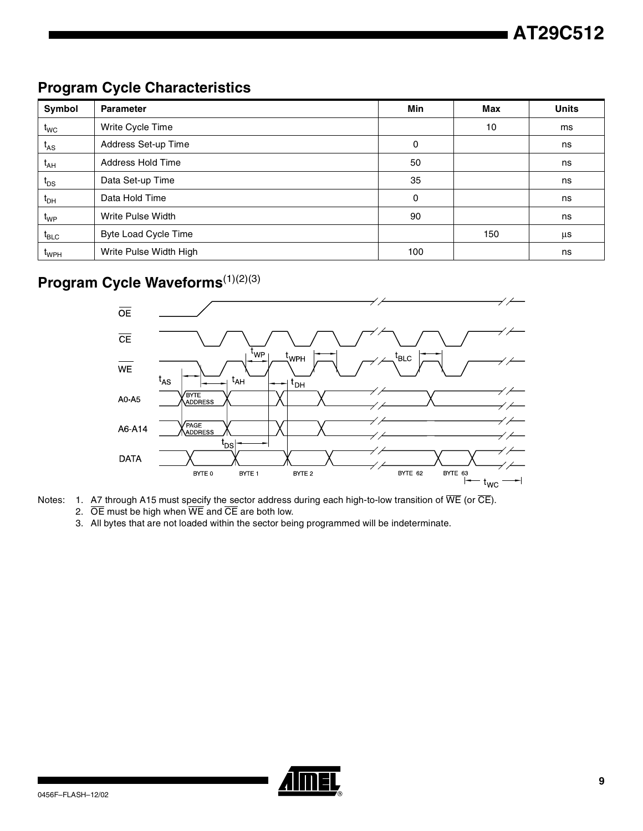## **Program Cycle Characteristics**

| Symbol                         | <b>Parameter</b>            | Min | Max | <b>Units</b> |
|--------------------------------|-----------------------------|-----|-----|--------------|
| $t_{\text{WC}}$                | Write Cycle Time            |     | 10  | ms           |
| $t_{AS}$                       | Address Set-up Time         | 0   |     | ns           |
| $t_{AH}$                       | Address Hold Time           | 50  |     | ns           |
| $t_{DS}$                       | Data Set-up Time            | 35  |     | ns           |
| $t_{\sf DH}$                   | Data Hold Time              | 0   |     | ns           |
| $t_{WP}$                       | Write Pulse Width           | 90  |     | ns           |
| $t_{\scriptstyle\textrm{BLC}}$ | <b>Byte Load Cycle Time</b> |     | 150 | μs           |
| t <sub>WPH</sub>               | Write Pulse Width High      | 100 |     | ns           |

# **Program Cycle Waveforms**<sup>(1)(2)(3)</sup>



Notes: 1. A7 through A15 must specify the sector address during each high-to-low transition of WE (or CE).

- 2.  $\overline{OE}$  must be high when  $\overline{WE}$  and  $\overline{CE}$  are both low.
- 3. All bytes that are not loaded within the sector being programmed will be indeterminate.

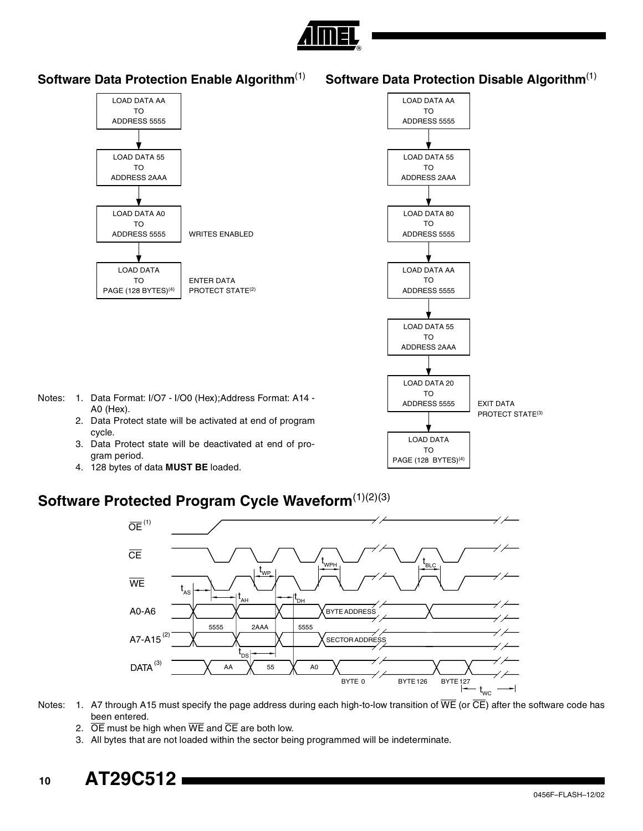

### **Software Data Protection Enable Algorithm**(1)

**Software Data Protection Disable Algorithm**(1)



## **Software Protected Program Cycle Waveform**<sup>(1)(2)(3)</sup>



Notes: 1. A7 through A15 must specify the page address during each high-to-low transition of  $\overline{WE}$  (or  $\overline{CE}$ ) after the software code has been entered.

- 2.  $\overline{OE}$  must be high when  $\overline{WE}$  and  $\overline{CE}$  are both low.
- 3. All bytes that are not loaded within the sector being programmed will be indeterminate.

# **<sup>10</sup> AT29C512**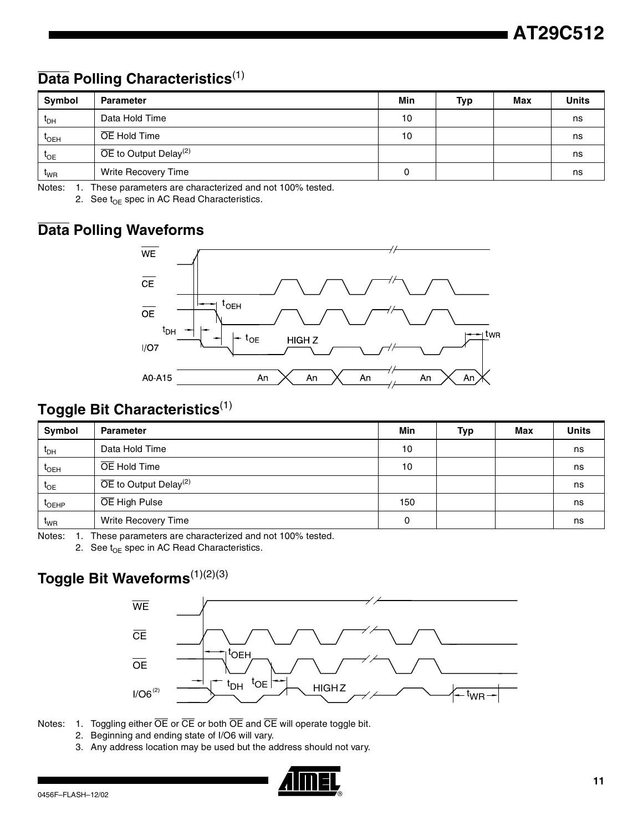## **Data Polling Characteristics**(1)

| Symbol           | <b>Parameter</b>                               | Min | Typ | Max | <b>Units</b> |
|------------------|------------------------------------------------|-----|-----|-----|--------------|
| $t_{DH}$         | Data Hold Time                                 | 10  |     |     | ns           |
| $t_{\text{OEH}}$ | OE Hold Time                                   | 10  |     |     | ns           |
| $t_{OE}$         | $\overline{OE}$ to Output Delay <sup>(2)</sup> |     |     |     | ns           |
| <sup>L</sup> WR  | Write Recovery Time                            | 0   |     |     | ns           |

Notes: 1. These parameters are characterized and not 100% tested.

2. See  $t_{OE}$  spec in AC Read Characteristics.

## **Data Polling Waveforms**



## **Toggle Bit Characteristics**(1)

| Symbol                       | <b>Parameter</b>                               | Min | <b>Typ</b> | Max | <b>Units</b> |
|------------------------------|------------------------------------------------|-----|------------|-----|--------------|
| $\mathfrak{r}_{\mathsf{DH}}$ | Data Hold Time                                 | 10  |            |     | ns           |
| $t_{\text{OEH}}$             | OE Hold Time                                   | 10  |            |     | ns           |
| $t_{OE}$                     | $\overline{OE}$ to Output Delay <sup>(2)</sup> |     |            |     | ns           |
| $t_{\text{OEHP}}$            | OE High Pulse                                  | 150 |            |     | ns           |
| t <sub>WR</sub>              | Write Recovery Time                            | 0   |            |     | ns           |

Notes: 1. These parameters are characterized and not 100% tested.

2. See  $t_{OE}$  spec in AC Read Characteristics.

## **Toggle Bit Waveforms**(1)(2)(3)



Notes: 1. Toggling either  $\overline{OE}$  or  $\overline{CE}$  or both  $\overline{OE}$  and  $\overline{CE}$  will operate toggle bit.

- 2. Beginning and ending state of I/O6 will vary.
- 3. Any address location may be used but the address should not vary.

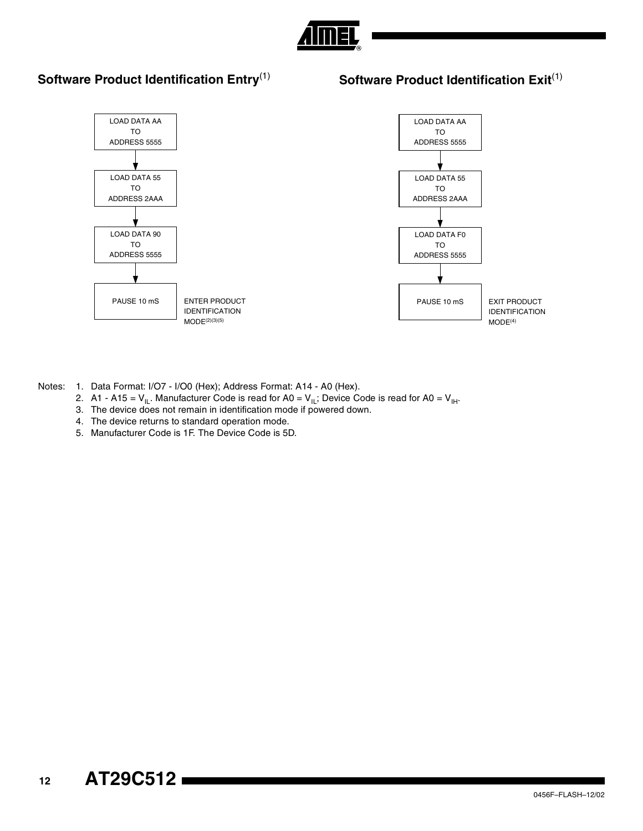

### **Software Product Identification Entry**(1)

#### **Software Product Identification Exit**<sup>(1)</sup>



Notes: 1. Data Format: I/O7 - I/O0 (Hex); Address Format: A14 - A0 (Hex).

- 2. A1 A15 =  $V_{II}$ . Manufacturer Code is read for A0 =  $V_{II}$ ; Device Code is read for A0 =  $V_{II}$ .
- 3. The device does not remain in identification mode if powered down.
- 4. The device returns to standard operation mode.
- 5. Manufacturer Code is 1F. The Device Code is 5D.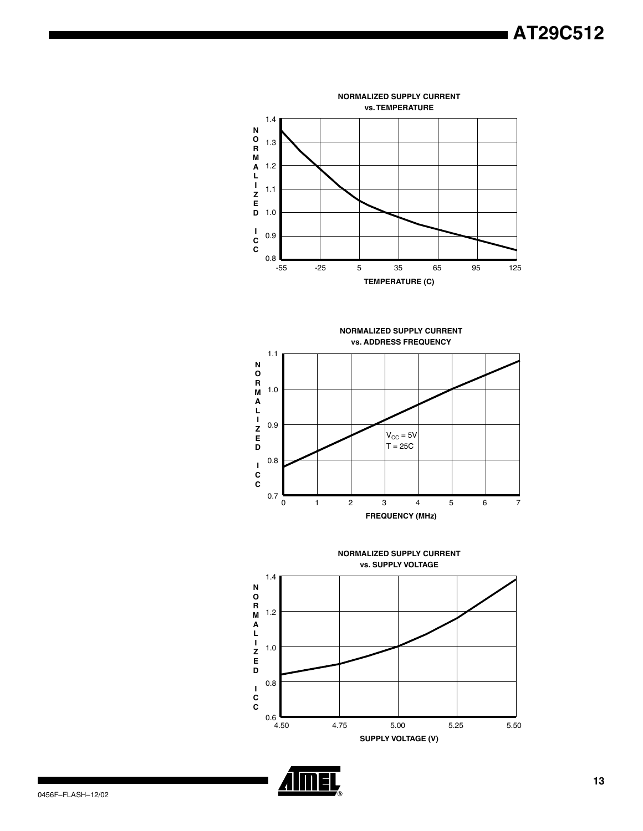





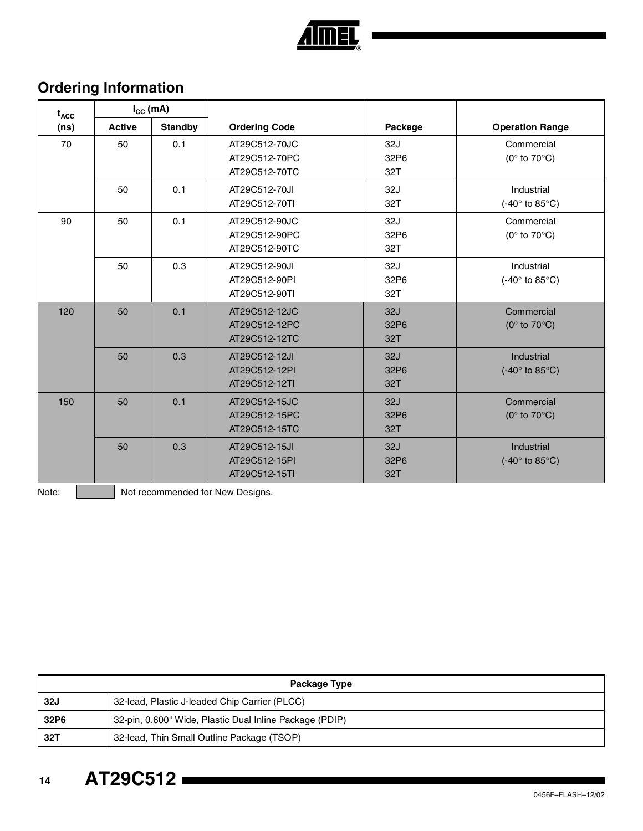

## **Ordering Information**

| $t_{\text{ACC}}$ | $I_{CC}$ (mA) |                |                                                 |                    |                                                           |
|------------------|---------------|----------------|-------------------------------------------------|--------------------|-----------------------------------------------------------|
| (ns)             | <b>Active</b> | <b>Standby</b> | <b>Ordering Code</b>                            | Package            | <b>Operation Range</b>                                    |
| 70               | 50            | 0.1            | AT29C512-70JC<br>AT29C512-70PC<br>AT29C512-70TC | 32J<br>32P6<br>32T | Commercial<br>(0 $\degree$ to 70 $\degree$ C)             |
|                  | 50            | 0.1            | AT29C512-70JI<br>AT29C512-70TI                  | 32J<br>32T         | Industrial<br>(-40 $\degree$ to 85 $\degree$ C)           |
| 90               | 50            | 0.1            | AT29C512-90JC<br>AT29C512-90PC<br>AT29C512-90TC | 32J<br>32P6<br>32T | Commercial<br>(0 $\degree$ to 70 $\degree$ C)             |
|                  | 50            | 0.3            | AT29C512-90JI<br>AT29C512-90PI<br>AT29C512-90TI | 32J<br>32P6<br>32T | Industrial<br>$(-40^\circ \text{ to } 85^\circ \text{C})$ |
| 120              | 50            | 0.1            | AT29C512-12JC<br>AT29C512-12PC<br>AT29C512-12TC | 32J<br>32P6<br>32T | Commercial<br>( $0^\circ$ to $70^\circ$ C)                |
|                  | 50            | 0.3            | AT29C512-12JI<br>AT29C512-12PI<br>AT29C512-12TI | 32J<br>32P6<br>32T | Industrial<br>$(-40^\circ \text{ to } 85^\circ \text{C})$ |
| 150              | 50            | 0.1            | AT29C512-15JC<br>AT29C512-15PC<br>AT29C512-15TC | 32J<br>32P6<br>32T | Commercial<br>( $0^\circ$ to $70^\circ$ C)                |
|                  | 50            | 0.3            | AT29C512-15JI<br>AT29C512-15PI<br>AT29C512-15TI | 32J<br>32P6<br>32T | Industrial<br>(-40 $\degree$ to 85 $\degree$ C)           |

Note: | Not recommended for New Designs.

| Package Type |                                                         |  |
|--------------|---------------------------------------------------------|--|
| <b>32J</b>   | 32-lead, Plastic J-leaded Chip Carrier (PLCC)           |  |
| 32P6         | 32-pin, 0.600" Wide, Plastic Dual Inline Package (PDIP) |  |
| 32T          | 32-lead, Thin Small Outline Package (TSOP)              |  |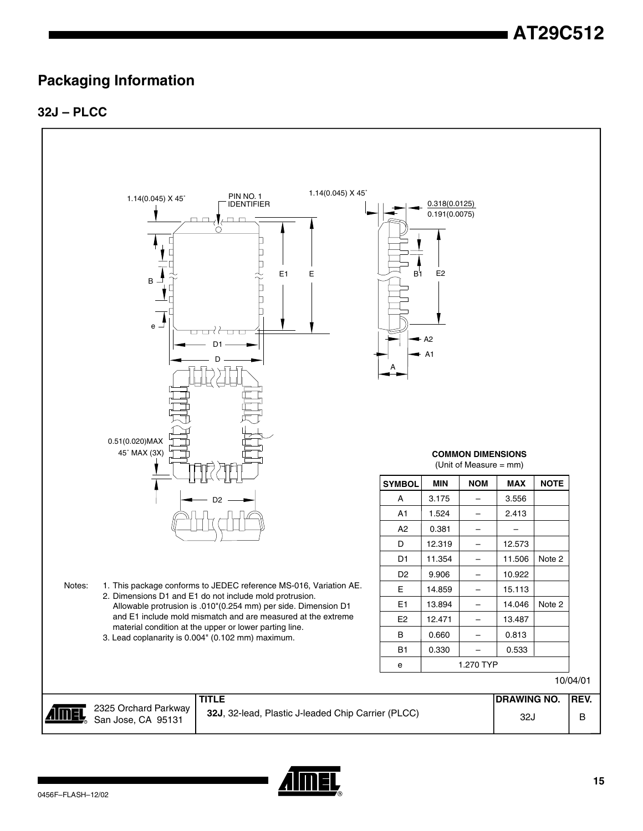## **Packaging Information**

### **32J – PLCC**



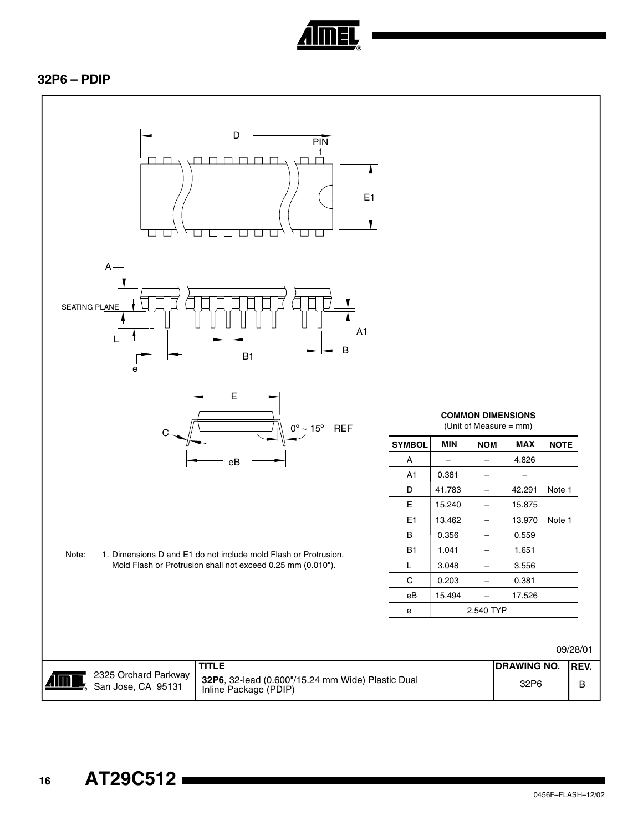

#### **32P6 – PDIP**

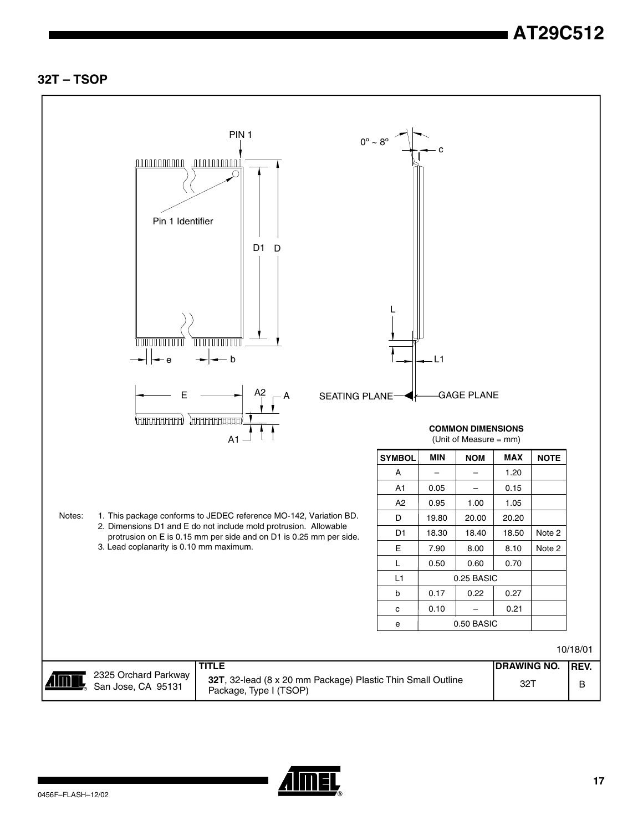#### **32T – TSOP**